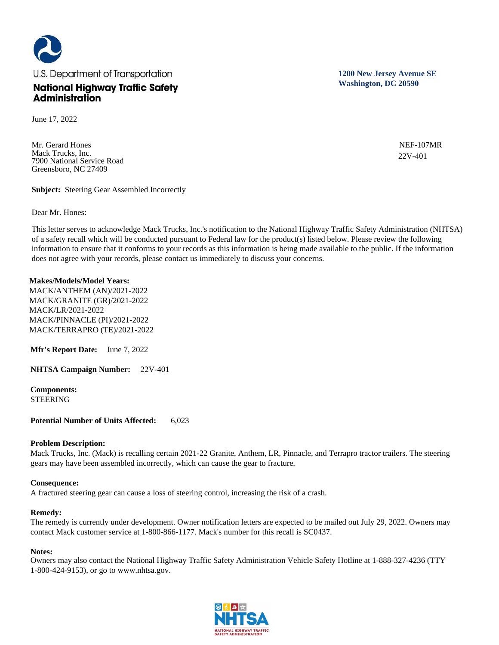

June 17, 2022

Mr. Gerard Hones Mack Trucks, Inc. 7900 National Service Road Greensboro, NC 27409

**Subject:** Steering Gear Assembled Incorrectly

Dear Mr. Hones:

This letter serves to acknowledge Mack Trucks, Inc.'s notification to the National Highway Traffic Safety Administration (NHTSA) of a safety recall which will be conducted pursuant to Federal law for the product(s) listed below. Please review the following information to ensure that it conforms to your records as this information is being made available to the public. If the information does not agree with your records, please contact us immediately to discuss your concerns.

### **Makes/Models/Model Years:**

MACK/ANTHEM (AN)/2021-2022 MACK/GRANITE (GR)/2021-2022 MACK/LR/2021-2022 MACK/PINNACLE (PI)/2021-2022 MACK/TERRAPRO (TE)/2021-2022

**Mfr's Report Date:** June 7, 2022

**NHTSA Campaign Number:** 22V-401

**Components:**  STEERING

**Potential Number of Units Affected:** 6,023

### **Problem Description:**

Mack Trucks, Inc. (Mack) is recalling certain 2021-22 Granite, Anthem, LR, Pinnacle, and Terrapro tractor trailers. The steering gears may have been assembled incorrectly, which can cause the gear to fracture.

### **Consequence:**

A fractured steering gear can cause a loss of steering control, increasing the risk of a crash.

#### **Remedy:**

The remedy is currently under development. Owner notification letters are expected to be mailed out July 29, 2022. Owners may contact Mack customer service at 1-800-866-1177. Mack's number for this recall is SC0437.

### **Notes:**

Owners may also contact the National Highway Traffic Safety Administration Vehicle Safety Hotline at 1-888-327-4236 (TTY 1-800-424-9153), or go to www.nhtsa.gov.



**1200 New Jersey Avenue SE Washington, DC 20590**

> NEF-107MR 22V-401